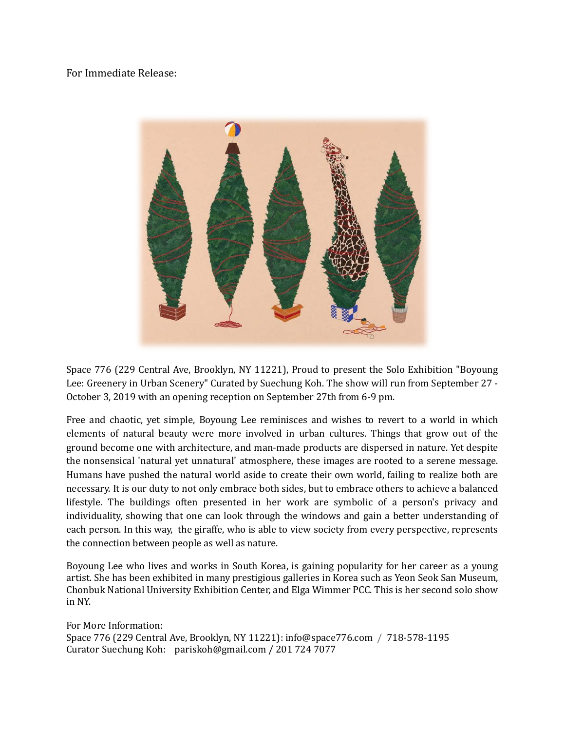For Immediate Release:



Space 776 (229 Central Ave, Brooklyn, NY 11221), Proud to present the Solo Exhibition "Boyoung Lee: Greenery in Urban Scenery" Curated by Suechung Koh. The show will run from September 27 - October 3, 2019 with an opening reception on September 27th from 6-9 pm.

Free and chaotic, yet simple, Boyoung Lee reminisces and wishes to revert to a world in which elements of natural beauty were more involved in urban cultures. Things that grow out of the ground become one with architecture, and man-made products are dispersed in nature. Yet despite the nonsensical 'natural yet unnatural' atmosphere, these images are rooted to a serene message. Humans have pushed the natural world aside to create their own world, failing to realize both are necessary. It is our duty to not only embrace both sides, but to embrace others to achieve a balanced lifestyle. The buildings often presented in her work are symbolic of a person's privacy and individuality, showing that one can look through the windows and gain a better understanding of each person. In this way, the giraffe, who is able to view society from every perspective, represents the connection between people as well as nature.

Boyoung Lee who lives and works in South Korea, is gaining popularity for her career as a young artist. She has been exhibited in many prestigious galleries in Korea such as Yeon Seok San Museum, Chonbuk National University Exhibition Center, and Elga Wimmer PCC. This is her second solo show in NY.

For More Information: Space 776 (229 Central Ave, Brooklyn, NY 11221): info@space776.com / 718-578-1195 Curator Suechung Koh: pariskoh@gmail.com / 201 724 7077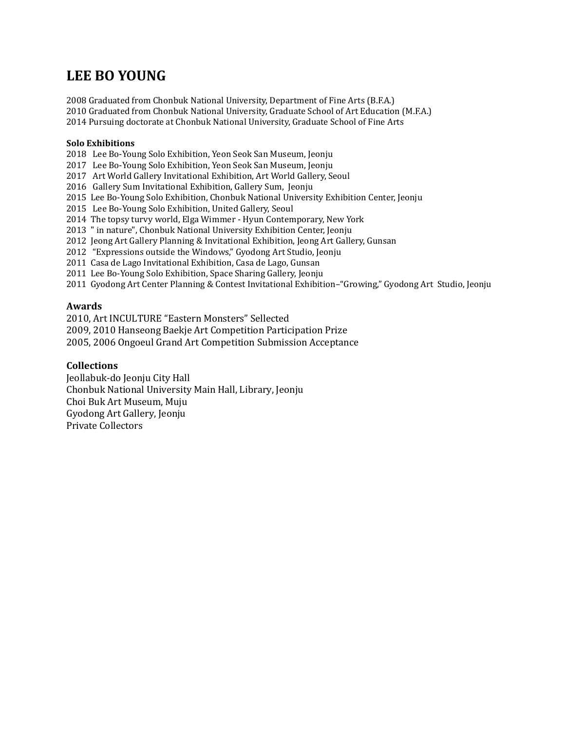# **LEE BO YOUNG**

2008 Graduated from Chonbuk National University, Department of Fine Arts (B.F.A.) 2010 Graduated from Chonbuk National University, Graduate School of Art Education (M.F.A.) 2014 Pursuing doctorate at Chonbuk National University, Graduate School of Fine Arts

## **Solo Exhibitions**

2018 Lee Bo-Young Solo Exhibition, Yeon Seok San Museum, Jeonju

2017 Lee Bo-Young Solo Exhibition, Yeon Seok San Museum, Jeonju

2017 Art World Gallery Invitational Exhibition, Art World Gallery, Seoul

2016 Gallery Sum Invitational Exhibition, Gallery Sum, Jeonju

2015 Lee Bo-Young Solo Exhibition, Chonbuk National University Exhibition Center, Jeonju

2015 Lee Bo-Young Solo Exhibition, United Gallery, Seoul

2014 The topsy turvy world, Elga Wimmer - Hyun Contemporary, New York

2013 " in nature", Chonbuk National University Exhibition Center, Jeonju

2012 Jeong Art Gallery Planning & Invitational Exhibition, Jeong Art Gallery, Gunsan

2012 "Expressions outside the Windows," Gyodong Art Studio, Jeonju

2011 Casa de Lago Invitational Exhibition, Casa de Lago, Gunsan

2011 Lee Bo-Young Solo Exhibition, Space Sharing Gallery, Jeonju

2011 Gyodong Art Center Planning & Contest Invitational Exhibition–"Growing," Gyodong Art Studio, Jeonju

## **Awards**

2010, Art INCULTURE "Eastern Monsters" Sellected

2009, 2010 Hanseong Baekje Art Competition Participation Prize

2005, 2006 Ongoeul Grand Art Competition Submission Acceptance

## **Collections**

Jeollabuk-do Jeonju City Hall Chonbuk National University Main Hall, Library, Jeonju Choi Buk Art Museum, Muju Gyodong Art Gallery, Jeonju Private Collectors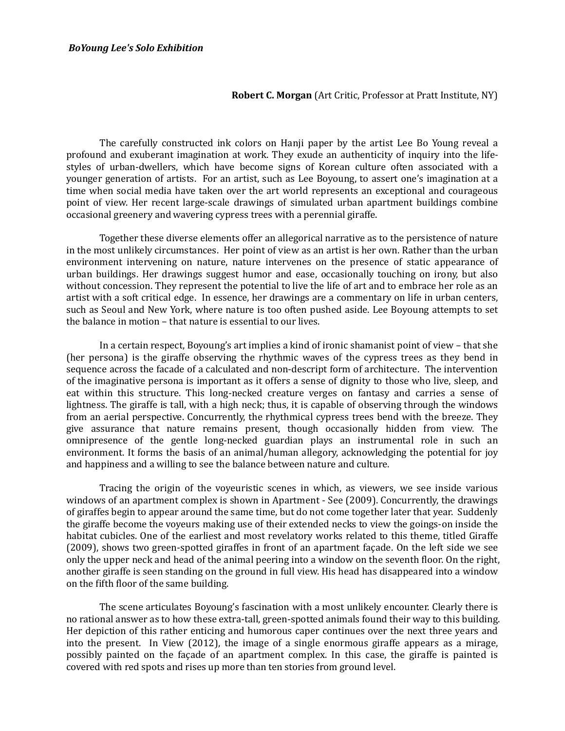*BoYoung Lee's Solo Exhibition* 

### **Robert C. Morgan** (Art Critic, Professor at Pratt Institute, NY)

The carefully constructed ink colors on Hanji paper by the artist Lee Bo Young reveal a profound and exuberant imagination at work. They exude an authenticity of inquiry into the lifestyles of urban-dwellers, which have become signs of Korean culture often associated with a younger generation of artists. For an artist, such as Lee Boyoung, to assert one's imagination at a time when social media have taken over the art world represents an exceptional and courageous point of view. Her recent large-scale drawings of simulated urban apartment buildings combine occasional greenery and wavering cypress trees with a perennial giraffe.

Together these diverse elements offer an allegorical narrative as to the persistence of nature in the most unlikely circumstances. Her point of view as an artist is her own. Rather than the urban environment intervening on nature, nature intervenes on the presence of static appearance of urban buildings. Her drawings suggest humor and ease, occasionally touching on irony, but also without concession. They represent the potential to live the life of art and to embrace her role as an artist with a soft critical edge. In essence, her drawings are a commentary on life in urban centers, such as Seoul and New York, where nature is too often pushed aside. Lee Boyoung attempts to set the balance in motion – that nature is essential to our lives.

In a certain respect, Boyoung's art implies a kind of ironic shamanist point of view – that she (her persona) is the giraffe observing the rhythmic waves of the cypress trees as they bend in sequence across the facade of a calculated and non-descript form of architecture. The intervention of the imaginative persona is important as it offers a sense of dignity to those who live, sleep, and eat within this structure. This long-necked creature verges on fantasy and carries a sense of lightness. The giraffe is tall, with a high neck; thus, it is capable of observing through the windows from an aerial perspective. Concurrently, the rhythmical cypress trees bend with the breeze. They give assurance that nature remains present, though occasionally hidden from view. The omnipresence of the gentle long-necked guardian plays an instrumental role in such an environment. It forms the basis of an animal/human allegory, acknowledging the potential for joy and happiness and a willing to see the balance between nature and culture.

Tracing the origin of the voyeuristic scenes in which, as viewers, we see inside various windows of an apartment complex is shown in Apartment - See (2009). Concurrently, the drawings of giraffes begin to appear around the same time, but do not come together later that year. Suddenly the giraffe become the voyeurs making use of their extended necks to view the goings-on inside the habitat cubicles. One of the earliest and most revelatory works related to this theme, titled Giraffe (2009), shows two green-spotted giraffes in front of an apartment façade. On the left side we see only the upper neck and head of the animal peering into a window on the seventh floor. On the right, another giraffe is seen standing on the ground in full view. His head has disappeared into a window on the fifth floor of the same building.

The scene articulates Boyoung's fascination with a most unlikely encounter. Clearly there is no rational answer as to how these extra-tall, green-spotted animals found their way to this building. Her depiction of this rather enticing and humorous caper continues over the next three years and into the present. In View (2012), the image of a single enormous giraffe appears as a mirage, possibly painted on the façade of an apartment complex. In this case, the giraffe is painted is covered with red spots and rises up more than ten stories from ground level.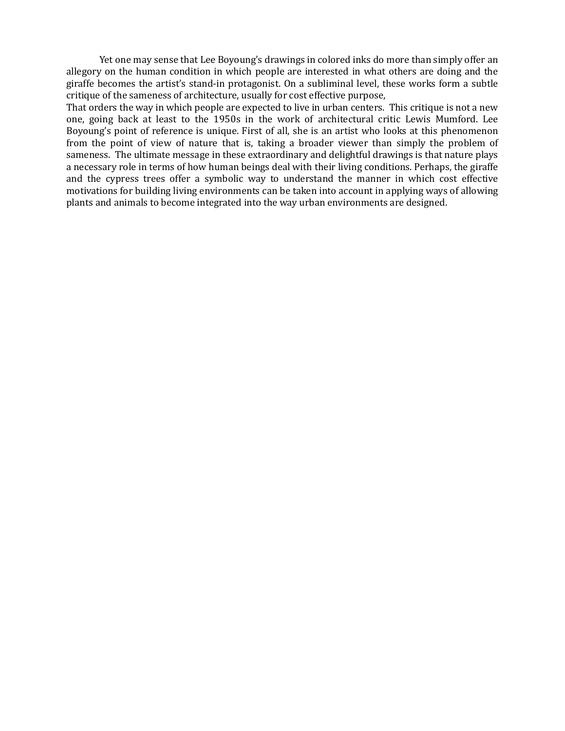Yet one may sense that Lee Boyoung's drawings in colored inks do more than simply offer an allegory on the human condition in which people are interested in what others are doing and the giraffe becomes the artist's stand-in protagonist. On a subliminal level, these works form a subtle critique of the sameness of architecture, usually for cost effective purpose,

That orders the way in which people are expected to live in urban centers. This critique is not a new one, going back at least to the 1950s in the work of architectural critic Lewis Mumford. Lee Boyoung's point of reference is unique. First of all, she is an artist who looks at this phenomenon from the point of view of nature that is, taking a broader viewer than simply the problem of sameness. The ultimate message in these extraordinary and delightful drawings is that nature plays a necessary role in terms of how human beings deal with their living conditions. Perhaps, the giraffe and the cypress trees offer a symbolic way to understand the manner in which cost effective motivations for building living environments can be taken into account in applying ways of allowing plants and animals to become integrated into the way urban environments are designed.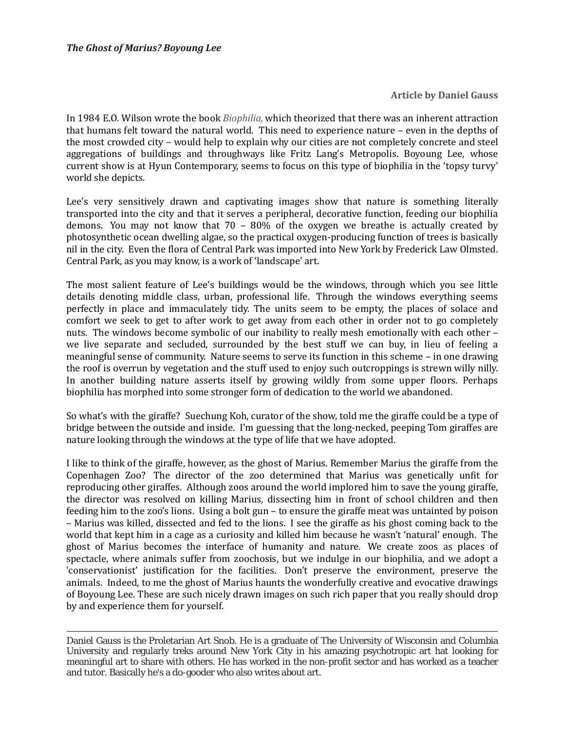**Article by Daniel Gauss**

In 1984 E.O. Wilson wrote the book *Biophilia,* which theorized that there was an inherent attraction that humans felt toward the natural world. This need to experience nature – even in the depths of the most crowded city – would help to explain why our cities are not completely concrete and steel aggregations of buildings and throughways like Fritz Lang's Metropolis. Boyoung Lee, whose current show is at Hyun Contemporary, seems to focus on this type of biophilia in the 'topsy turvy' world she depicts.

Lee's very sensitively drawn and captivating images show that nature is something literally transported into the city and that it serves a peripheral, decorative function, feeding our biophilia demons. You may not know that  $70 - 80\%$  of the oxygen we breathe is actually created by photosynthetic ocean dwelling algae, so the practical oxygen-producing function of trees is basically nil in the city. Even the flora of Central Park was imported into New York by Frederick Law Olmsted. Central Park, as you may know, is a work of 'landscape' art.

The most salient feature of Lee's buildings would be the windows, through which you see little details denoting middle class, urban, professional life. Through the windows everything seems perfectly in place and immaculately tidy. The units seem to be empty, the places of solace and comfort we seek to get to after work to get away from each other in order not to go completely nuts. The windows become symbolic of our inability to really mesh emotionally with each other – we live separate and secluded, surrounded by the best stuff we can buy, in lieu of feeling a meaningful sense of community. Nature seems to serve its function in this scheme – in one drawing the roof is overrun by vegetation and the stuff used to enjoy such outcroppings is strewn willy nilly. In another building nature asserts itself by growing wildly from some upper floors. Perhaps biophilia has morphed into some stronger form of dedication to the world we abandoned.

So what's with the giraffe? Suechung Koh, curator of the show, told me the giraffe could be a type of bridge between the outside and inside. I'm guessing that the long-necked, peeping Tom giraffes are nature looking through the windows at the type of life that we have adopted.

I like to think of the giraffe, however, as the ghost of Marius. Remember Marius the giraffe from the Copenhagen Zoo? The director of the zoo determined that Marius was genetically unfit for reproducing other giraffes. Although zoos around the world implored him to save the young giraffe, the director was resolved on killing Marius, dissecting him in front of school children and then feeding him to the zoo's lions. Using a bolt gun – to ensure the giraffe meat was untainted by poison – Marius was killed, dissected and fed to the lions. I see the giraffe as his ghost coming back to the world that kept him in a cage as a curiosity and killed him because he wasn't 'natural' enough. The ghost of Marius becomes the interface of humanity and nature. We create zoos as places of spectacle, where animals suffer from zoochosis, but we indulge in our biophilia, and we adopt a 'conservationist' justification for the facilities. Don't preserve the environment, preserve the animals. Indeed, to me the ghost of Marius haunts the wonderfully creative and evocative drawings of Boyoung Lee. These are such nicely drawn images on such rich paper that you really should drop by and experience them for yourself.

Daniel Gauss is the Proletarian Art Snob. He is a graduate of The University of Wisconsin and Columbia University and regularly treks around New York City in his amazing psychotropic art hat looking for meaningful art to share with others. He has worked in the non-profit sector and has worked as a teacher and tutor. Basically he's a do-gooder who also writes about art.